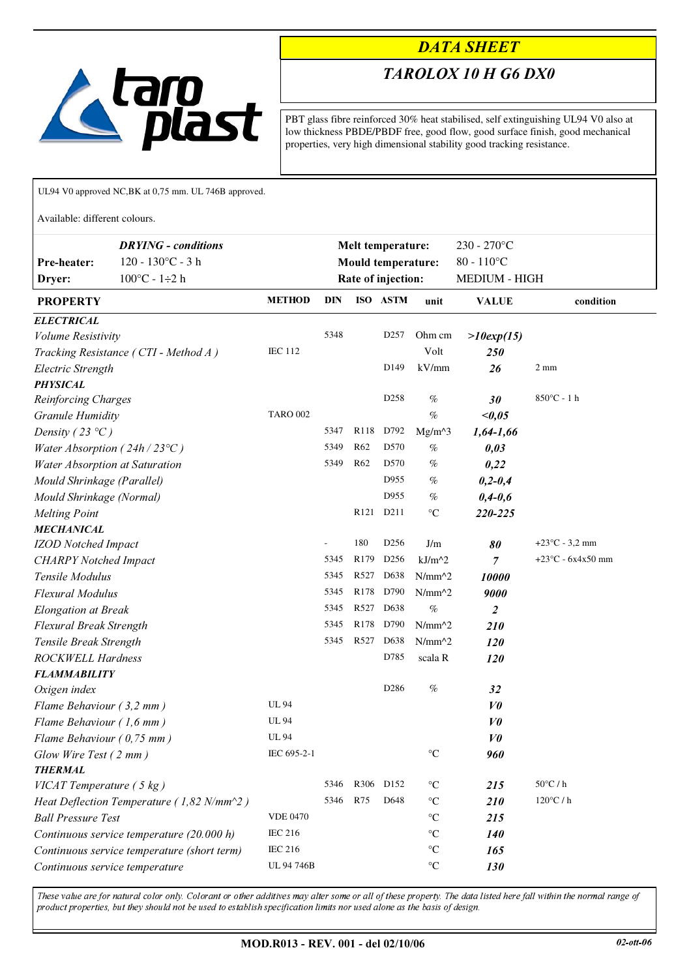

Г

## **DATA SHEET**

## TAROLOX 10 H G6 DX0

PBT glass fibre reinforced 30% heat stabilised, self extinguishing UL94 V0 also at low thickness PBDE/PBDF free, good flow, good surface finish, good mechanical properties, very high dimensional stability good tracking resistance.

|                                        | UL94 V0 approved NC, BK at 0,75 mm. UL 746B approved.                         |                 |      |                  |                                                                      |                     |                                                  |                             |  |
|----------------------------------------|-------------------------------------------------------------------------------|-----------------|------|------------------|----------------------------------------------------------------------|---------------------|--------------------------------------------------|-----------------------------|--|
| Available: different colours.          |                                                                               |                 |      |                  |                                                                      |                     |                                                  |                             |  |
| Pre-heater:<br>Dryer:                  | <b>DRYING</b> - conditions<br>$120 - 130$ °C - 3 h<br>$100^{\circ}$ C - 1÷2 h |                 |      |                  | Melt temperature:<br><b>Mould temperature:</b><br>Rate of injection: |                     | $230 - 270$ °C<br>$80 - 110$ °C<br>MEDIUM - HIGH |                             |  |
| <b>METHOD</b><br><b>PROPERTY</b>       |                                                                               | DIN             |      | ISO ASTM         | unit                                                                 | <b>VALUE</b>        | condition                                        |                             |  |
| <b>ELECTRICAL</b>                      |                                                                               |                 |      |                  |                                                                      |                     |                                                  |                             |  |
| Volume Resistivity                     |                                                                               |                 | 5348 |                  | D <sub>257</sub>                                                     | Ohm cm              | $>10$ exp(15)                                    |                             |  |
| Tracking Resistance (CTI - Method A)   |                                                                               | <b>IEC 112</b>  |      |                  |                                                                      | Volt                | 250                                              |                             |  |
| Electric Strength                      |                                                                               |                 |      |                  | D <sub>149</sub>                                                     | kV/mm               | 26                                               | 2 mm                        |  |
| <b>PHYSICAL</b>                        |                                                                               |                 |      |                  |                                                                      |                     |                                                  |                             |  |
| Reinforcing Charges                    |                                                                               |                 |      |                  | D <sub>258</sub>                                                     | $\%$                | 30                                               | $850^{\circ}$ C - 1 h       |  |
| Granule Humidity                       |                                                                               | <b>TARO 002</b> |      |                  |                                                                      | $\%$                | <,0.05                                           |                             |  |
| Density (23 °C)                        |                                                                               |                 | 5347 | R <sub>118</sub> | D792                                                                 | $Mg/m^{3}$          | $1,64 - 1,66$                                    |                             |  |
| Water Absorption ( $24h/23^{\circ}C$ ) |                                                                               |                 | 5349 | R <sub>62</sub>  | D570                                                                 | $\%$                | 0,03                                             |                             |  |
| Water Absorption at Saturation         |                                                                               |                 | 5349 | R <sub>62</sub>  | D <sub>570</sub>                                                     | $\%$                | 0,22                                             |                             |  |
| Mould Shrinkage (Parallel)             |                                                                               |                 |      |                  | D955                                                                 | $\%$                | $0, 2 - 0, 4$                                    |                             |  |
| Mould Shrinkage (Normal)               |                                                                               |                 |      |                  | D955                                                                 | $\%$                | $0,4 - 0,6$                                      |                             |  |
| <b>Melting Point</b>                   |                                                                               |                 |      | R <sub>121</sub> | D <sub>211</sub>                                                     | $\rm ^{\circ}C$     | 220-225                                          |                             |  |
| <b>MECHANICAL</b>                      |                                                                               |                 |      |                  |                                                                      |                     |                                                  |                             |  |
| <b>IZOD</b> Notched Impact             |                                                                               |                 |      | 180              | D <sub>256</sub>                                                     | J/m                 | 80                                               | $+23^{\circ}$ C - 3,2 mm    |  |
| <b>CHARPY</b> Notched Impact           |                                                                               |                 | 5345 | R <sub>179</sub> | D <sub>256</sub>                                                     | $kJ/m^2$            | $\overline{7}$                                   | $+23^{\circ}$ C - 6x4x50 mm |  |
| Tensile Modulus                        |                                                                               |                 | 5345 | R527             | D <sub>6</sub> 38                                                    | $N/mm^2$            | 10000                                            |                             |  |
| Flexural Modulus                       |                                                                               |                 | 5345 | R178             | D790                                                                 | $N/mm^2$            | 9000                                             |                             |  |
| <b>Elongation at Break</b>             |                                                                               |                 | 5345 | R527             | D638                                                                 | $\%$                | $\overline{2}$                                   |                             |  |
| <b>Flexural Break Strength</b>         |                                                                               |                 | 5345 | R <sub>178</sub> | D790                                                                 | $N/mm^2$            | <i>210</i>                                       |                             |  |
| Tensile Break Strength                 |                                                                               |                 | 5345 | R527             | D638                                                                 | $N/mm^2$            | <i>120</i>                                       |                             |  |
| <b>ROCKWELL Hardness</b>               |                                                                               |                 |      |                  | D785                                                                 | scala R             | 120                                              |                             |  |
| <b>FLAMMABILITY</b>                    |                                                                               |                 |      |                  |                                                                      |                     |                                                  |                             |  |
| Oxigen index                           |                                                                               |                 |      |                  | D <sub>286</sub>                                                     | $\%$                | 32                                               |                             |  |
| Flame Behaviour (3,2 mm)               |                                                                               | <b>UL 94</b>    |      |                  |                                                                      |                     | V <sub>0</sub>                                   |                             |  |
| Flame Behaviour (1,6 mm)               |                                                                               | <b>UL 94</b>    |      |                  |                                                                      |                     | V <sub>0</sub>                                   |                             |  |
| Flame Behaviour $(0,75 \text{ mm})$    |                                                                               | <b>UL 94</b>    |      |                  |                                                                      |                     | $V\boldsymbol{\theta}$                           |                             |  |
| Glow Wire Test (2 mm)                  |                                                                               | IEC 695-2-1     |      |                  |                                                                      | $\rm ^{\circ}C$     | 960                                              |                             |  |
| <b>THERMAL</b>                         |                                                                               |                 |      |                  |                                                                      |                     |                                                  |                             |  |
| $VICAT$ Temperature (5 kg)             |                                                                               |                 | 5346 | R306             | D <sub>152</sub>                                                     | $\rm ^{\circ}C$     | 215                                              | 50°C/h                      |  |
|                                        | Heat Deflection Temperature ( $1,82$ N/mm <sup><math>\sim</math></sup> 2)     |                 | 5346 | R75              | D648                                                                 | $\rm ^{\circ}C$     | <b>210</b>                                       | $120^{\circ}$ C / h         |  |
| <b>Ball Pressure Test</b>              |                                                                               | <b>VDE 0470</b> |      |                  |                                                                      | $\rm ^{\circ}C$     | 215                                              |                             |  |
|                                        | Continuous service temperature (20.000 h)                                     | <b>IEC 216</b>  |      |                  |                                                                      | $\rm ^{\circ}C$     | <b>140</b>                                       |                             |  |
|                                        | Continuous service temperature (short term)                                   | <b>IEC 216</b>  |      |                  |                                                                      | $^{\circ} \text{C}$ | 165                                              |                             |  |
| Continuous service temperature         |                                                                               | UL 94 746B      |      |                  |                                                                      | $^{\circ} \text{C}$ | 130                                              |                             |  |

These value are for natural color only. Colorant or other additives may alter some or all of these property. The data listed here fall within the normal range of product properties, but they should not be used to establish specification limits nor used alone as the basis of design.